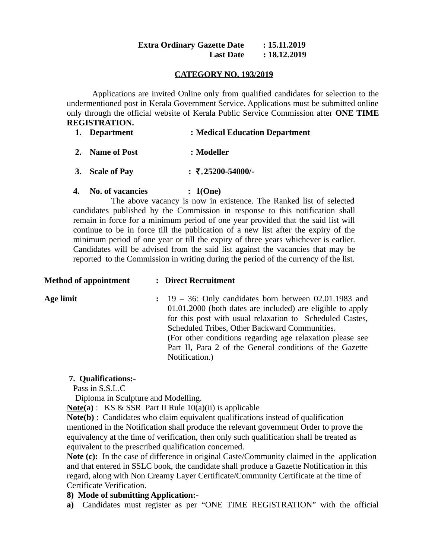#### **Extra Ordinary Gazette Date : 15.11.2019 Last Date : 18.12.2019**

### **CATEGORY NO. 193/2019**

Applications are invited Online only from qualified candidates for selection to the undermentioned post in Kerala Government Service. Applications must be submitted online only through the official website of Kerala Public Service Commission after **ONE TIME REGISTRATION.**

| 1. Department   | : Medical Education Department  |
|-----------------|---------------------------------|
| 2. Name of Post | $:$ Modeller                    |
| 3. Scale of Pay | : $\overline{5}$ .25200-54000/- |

### **4. No. of vacancies : 1(One)**

 The above vacancy is now in existence. The Ranked list of selected candidates published by the Commission in response to this notification shall remain in force for a minimum period of one year provided that the said list will continue to be in force till the publication of a new list after the expiry of the minimum period of one year or till the expiry of three years whichever is earlier. Candidates will be advised from the said list against the vacancies that may be reported to the Commission in writing during the period of the currency of the list.

## **Method of appointment : Direct Recruitment**

**Age limit :** 19 – 36: Only candidates born between 02.01.1983 and 01.01.2000 (both dates are included) are eligible to apply for this post with usual relaxation to Scheduled Castes, Scheduled Tribes, Other Backward Communities. (For other conditions regarding age relaxation please see Part II, Para 2 of the General conditions of the Gazette Notification.)

### **7. Qualifications:-**

Pass in S.S.L.C

Diploma in Sculpture and Modelling.

**Note(a)** : KS & SSR Part II Rule 10(a)(ii) is applicable

**Note(b)** : Candidates who claim equivalent qualifications instead of qualification mentioned in the Notification shall produce the relevant government Order to prove the equivalency at the time of verification, then only such qualification shall be treated as equivalent to the prescribed qualification concerned.

**Note (c):** In the case of difference in original Caste/Community claimed in the application and that entered in SSLC book, the candidate shall produce a Gazette Notification in this regard, along with Non Creamy Layer Certificate/Community Certificate at the time of Certificate Verification.

# **8) Mode of submitting Application:-**

**a)** Candidates must register as per "ONE TIME REGISTRATION" with the official